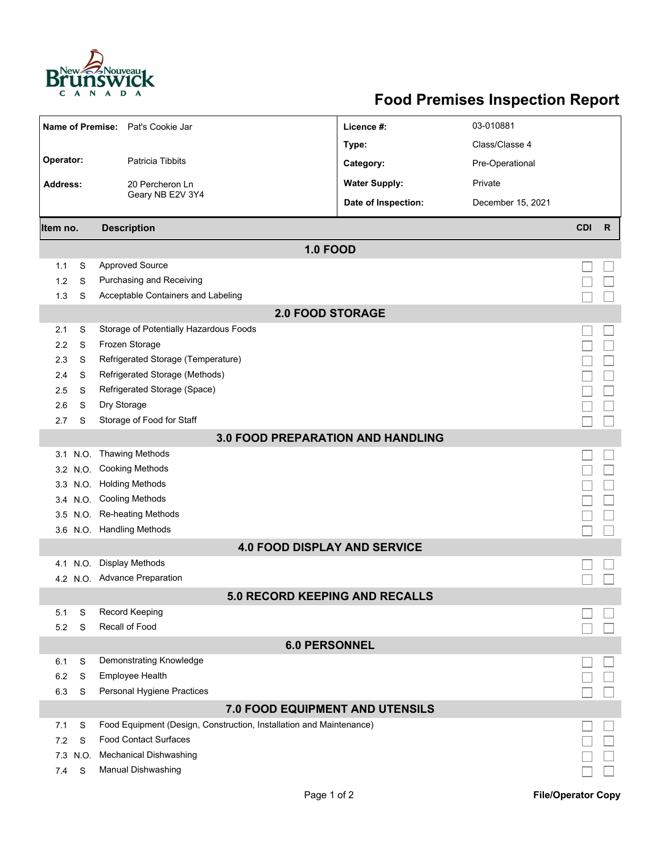

## **Food Premises Inspection Report**

| Name of Premise: Pat's Cookie Jar        |                                                                     | Licence #:           | 03-010881         |            |              |  |  |
|------------------------------------------|---------------------------------------------------------------------|----------------------|-------------------|------------|--------------|--|--|
|                                          |                                                                     | Type:                | Class/Classe 4    |            |              |  |  |
| Operator:<br>Patricia Tibbits            |                                                                     | Category:            | Pre-Operational   |            |              |  |  |
|                                          | 20 Percheron Ln<br>Geary NB E2V 3Y4                                 | <b>Water Supply:</b> | Private           |            |              |  |  |
| <b>Address:</b>                          |                                                                     |                      |                   |            |              |  |  |
|                                          |                                                                     | Date of Inspection:  | December 15, 2021 |            |              |  |  |
| Item no.                                 | <b>Description</b>                                                  |                      |                   | <b>CDI</b> | $\mathsf{R}$ |  |  |
| <b>1.0 FOOD</b>                          |                                                                     |                      |                   |            |              |  |  |
| 1.1<br>S                                 | <b>Approved Source</b>                                              |                      |                   |            |              |  |  |
| 1.2<br>S                                 | Purchasing and Receiving                                            |                      |                   |            |              |  |  |
| S<br>1.3                                 | Acceptable Containers and Labeling                                  |                      |                   |            |              |  |  |
| <b>2.0 FOOD STORAGE</b>                  |                                                                     |                      |                   |            |              |  |  |
| S<br>2.1                                 | Storage of Potentially Hazardous Foods                              |                      |                   |            |              |  |  |
| 2.2<br>S                                 | Frozen Storage                                                      |                      |                   |            |              |  |  |
| S<br>2.3                                 | Refrigerated Storage (Temperature)                                  |                      |                   |            |              |  |  |
| 2.4<br>S                                 | Refrigerated Storage (Methods)                                      |                      |                   |            |              |  |  |
| 2.5<br>S                                 | Refrigerated Storage (Space)                                        |                      |                   |            |              |  |  |
| S<br>2.6                                 | Dry Storage                                                         |                      |                   |            |              |  |  |
| S<br>2.7                                 | Storage of Food for Staff                                           |                      |                   |            |              |  |  |
| <b>3.0 FOOD PREPARATION AND HANDLING</b> |                                                                     |                      |                   |            |              |  |  |
| N.O.<br>3.1                              | <b>Thawing Methods</b>                                              |                      |                   |            |              |  |  |
|                                          | 3.2 N.O. Cooking Methods                                            |                      |                   |            |              |  |  |
|                                          | 3.3 N.O. Holding Methods                                            |                      |                   |            |              |  |  |
|                                          | 3.4 N.O. Cooling Methods                                            |                      |                   |            |              |  |  |
|                                          | 3.5 N.O. Re-heating Methods                                         |                      |                   |            |              |  |  |
|                                          | 3.6 N.O. Handling Methods                                           |                      |                   |            |              |  |  |
| <b>4.0 FOOD DISPLAY AND SERVICE</b>      |                                                                     |                      |                   |            |              |  |  |
| N.O.<br>4.1                              | Display Methods                                                     |                      |                   |            |              |  |  |
|                                          | 4.2 N.O. Advance Preparation                                        |                      |                   |            |              |  |  |
| 5.0 RECORD KEEPING AND RECALLS           |                                                                     |                      |                   |            |              |  |  |
| S<br>5.1                                 | Record Keeping                                                      |                      |                   |            |              |  |  |
| 5.2<br>S                                 | Recall of Food                                                      |                      |                   |            |              |  |  |
| <b>6.0 PERSONNEL</b>                     |                                                                     |                      |                   |            |              |  |  |
| S<br>6.1                                 | Demonstrating Knowledge                                             |                      |                   |            |              |  |  |
| 6.2<br>S                                 | Employee Health                                                     |                      |                   |            |              |  |  |
| 6.3<br>S                                 | Personal Hygiene Practices                                          |                      |                   |            |              |  |  |
| 7.0 FOOD EQUIPMENT AND UTENSILS          |                                                                     |                      |                   |            |              |  |  |
| S<br>7.1                                 | Food Equipment (Design, Construction, Installation and Maintenance) |                      |                   |            |              |  |  |
| S<br>7.2                                 | <b>Food Contact Surfaces</b>                                        |                      |                   |            |              |  |  |
| 7.3 N.O.                                 | <b>Mechanical Dishwashing</b>                                       |                      |                   |            |              |  |  |
| S<br>7.4                                 | <b>Manual Dishwashing</b>                                           |                      |                   |            |              |  |  |